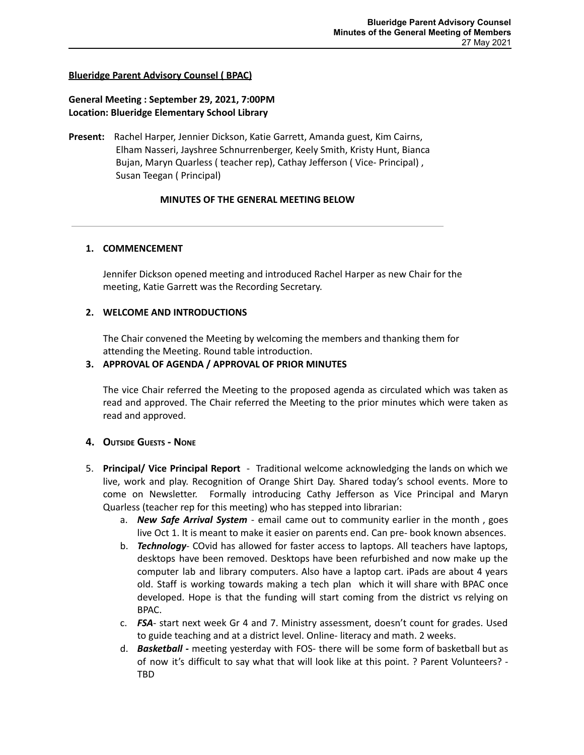## **Blueridge Parent Advisory Counsel ( BPAC)**

# **General Meeting : September 29, 2021, 7:00PM Location: Blueridge Elementary School Library**

**Present:** Rachel Harper, Jennier Dickson, Katie Garrett, Amanda guest, Kim Cairns, Elham Nasseri, Jayshree Schnurrenberger, Keely Smith, Kristy Hunt, Bianca Bujan, Maryn Quarless ( teacher rep), Cathay Jefferson ( Vice- Principal) , Susan Teegan ( Principal)

### **MINUTES OF THE GENERAL MEETING BELOW**

### **1. COMMENCEMENT**

Jennifer Dickson opened meeting and introduced Rachel Harper as new Chair for the meeting, Katie Garrett was the Recording Secretary.

### **2. WELCOME AND INTRODUCTIONS**

The Chair convened the Meeting by welcoming the members and thanking them for attending the Meeting. Round table introduction.

### **3. APPROVAL OF AGENDA / APPROVAL OF PRIOR MINUTES**

The vice Chair referred the Meeting to the proposed agenda as circulated which was taken as read and approved. The Chair referred the Meeting to the prior minutes which were taken as read and approved.

## **4. OUTSIDE GUESTS - NONE**

- 5. **Principal/ Vice Principal Report** Traditional welcome acknowledging the lands on which we live, work and play. Recognition of Orange Shirt Day. Shared today's school events. More to come on Newsletter. Formally introducing Cathy Jefferson as Vice Principal and Maryn Quarless (teacher rep for this meeting) who has stepped into librarian:
	- a. *New Safe Arrival System* email came out to community earlier in the month , goes live Oct 1. It is meant to make it easier on parents end. Can pre- book known absences.
	- b. *Technology* COvid has allowed for faster access to laptops. All teachers have laptops, desktops have been removed. Desktops have been refurbished and now make up the computer lab and library computers. Also have a laptop cart. iPads are about 4 years old. Staff is working towards making a tech plan which it will share with BPAC once developed. Hope is that the funding will start coming from the district vs relying on BPAC.
	- c. *FSA* start next week Gr 4 and 7. Ministry assessment, doesn't count for grades. Used to guide teaching and at a district level. Online- literacy and math. 2 weeks.
	- d. *Basketball -* meeting yesterday with FOS- there will be some form of basketball but as of now it's difficult to say what that will look like at this point. ? Parent Volunteers? - TBD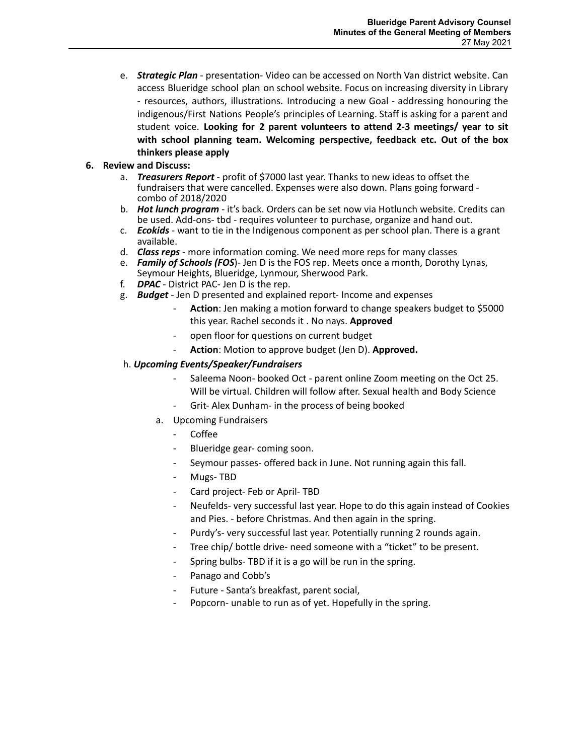e. *Strategic Plan* - presentation- Video can be accessed on North Van district website. Can access Blueridge school plan on school website. Focus on increasing diversity in Library - resources, authors, illustrations. Introducing a new Goal - addressing honouring the indigenous/First Nations People's principles of Learning. Staff is asking for a parent and student voice. **Looking for 2 parent volunteers to attend 2-3 meetings/ year to sit with school planning team. Welcoming perspective, feedback etc. Out of the box thinkers please apply**

# **6. Review and Discuss:**

- a. *Treasurers Report* profit of \$7000 last year. Thanks to new ideas to offset the fundraisers that were cancelled. Expenses were also down. Plans going forward combo of 2018/2020
- b. *Hot lunch program* it's back. Orders can be set now via Hotlunch website. Credits can be used. Add-ons- tbd - requires volunteer to purchase, organize and hand out.
- c. *Ecokids* want to tie in the Indigenous component as per school plan. There is a grant available.
- d. *Class reps* more information coming. We need more reps for many classes
- e. *Family of Schools (FOS*)- Jen D is the FOS rep. Meets once a month, Dorothy Lynas, Seymour Heights, Blueridge, Lynmour, Sherwood Park.
- f. *DPAC* District PAC- Jen D is the rep.
- g. *Budget* Jen D presented and explained report- Income and expenses
	- Action: Jen making a motion forward to change speakers budget to \$5000 this year. Rachel seconds it . No nays. **Approved**
	- open floor for questions on current budget
	- Action: Motion to approve budget (Jen D). Approved.

## h. *Upcoming Events/Speaker/Fundraisers*

- Saleema Noon- booked Oct parent online Zoom meeting on the Oct 25. Will be virtual. Children will follow after. Sexual health and Body Science
- Grit- Alex Dunham- in the process of being booked
- a. Upcoming Fundraisers
	- Coffee
	- Blueridge gear- coming soon.
	- Seymour passes- offered back in June. Not running again this fall.
	- Mugs-TBD
	- Card project- Feb or April- TBD
	- Neufelds- very successful last year. Hope to do this again instead of Cookies and Pies. - before Christmas. And then again in the spring.
	- Purdy's- very successful last year. Potentially running 2 rounds again.
	- Tree chip/ bottle drive- need someone with a "ticket" to be present.
	- Spring bulbs- TBD if it is a go will be run in the spring.
	- Panago and Cobb's
	- Future Santa's breakfast, parent social,
	- Popcorn- unable to run as of yet. Hopefully in the spring.